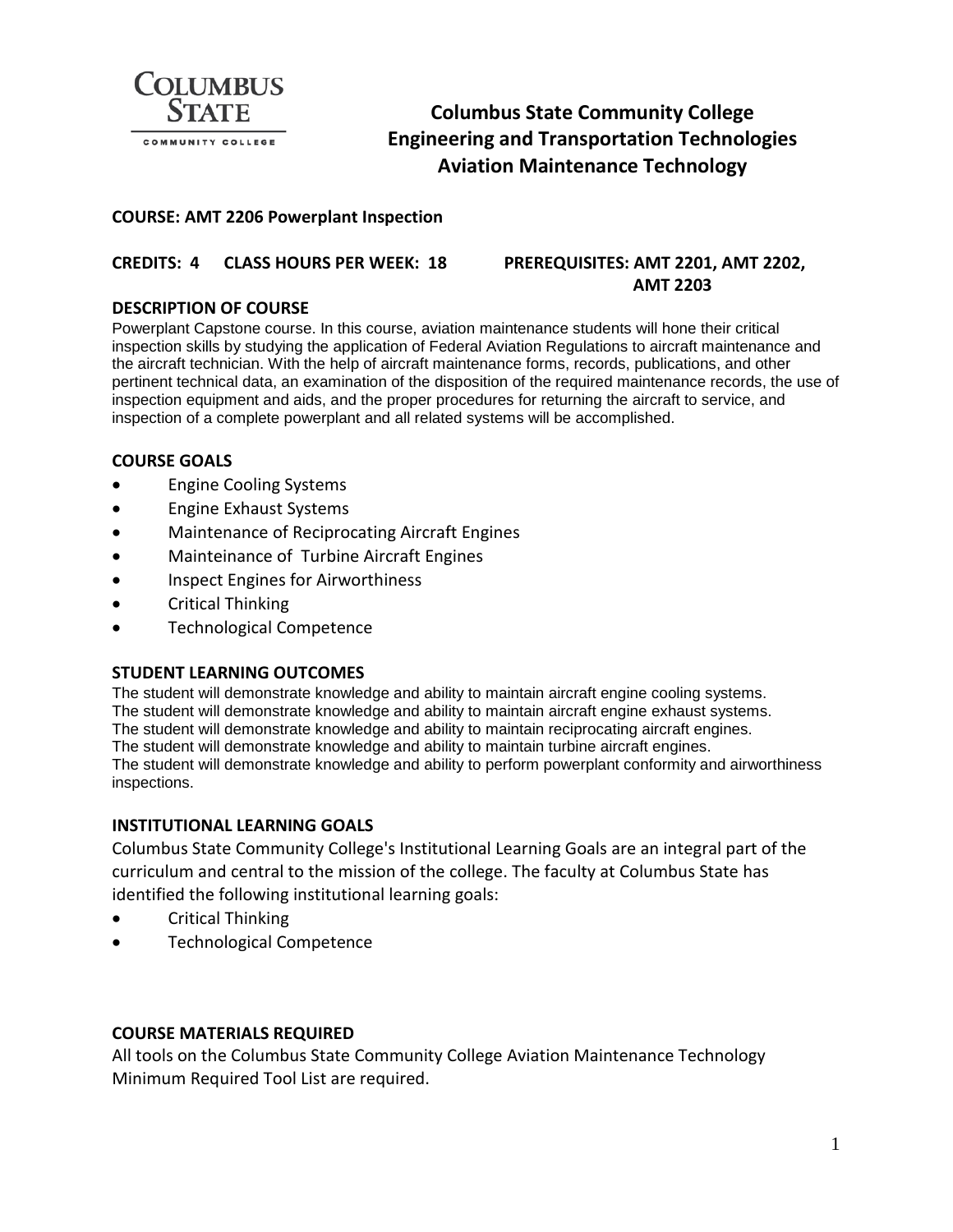

# **Columbus State Community College Engineering and Transportation Technologies Aviation Maintenance Technology**

#### **COURSE: AMT 2206 Powerplant Inspection**

#### **CREDITS: 4 CLASS HOURS PER WEEK: 18 PREREQUISITES: AMT 2201, AMT 2202,**

# **AMT 2203**

#### **DESCRIPTION OF COURSE**

Powerplant Capstone course. In this course, aviation maintenance students will hone their critical inspection skills by studying the application of Federal Aviation Regulations to aircraft maintenance and the aircraft technician. With the help of aircraft maintenance forms, records, publications, and other pertinent technical data, an examination of the disposition of the required maintenance records, the use of inspection equipment and aids, and the proper procedures for returning the aircraft to service, and inspection of a complete powerplant and all related systems will be accomplished.

#### **COURSE GOALS**

- Engine Cooling Systems
- Engine Exhaust Systems
- Maintenance of Reciprocating Aircraft Engines
- Mainteinance of Turbine Aircraft Engines
- Inspect Engines for Airworthiness
- Critical Thinking
- Technological Competence

#### **STUDENT LEARNING OUTCOMES**

The student will demonstrate knowledge and ability to maintain aircraft engine cooling systems. The student will demonstrate knowledge and ability to maintain aircraft engine exhaust systems. The student will demonstrate knowledge and ability to maintain reciprocating aircraft engines. The student will demonstrate knowledge and ability to maintain turbine aircraft engines. The student will demonstrate knowledge and ability to perform powerplant conformity and airworthiness inspections.

#### **INSTITUTIONAL LEARNING GOALS**

Columbus State Community College's Institutional Learning Goals are an integral part of the curriculum and central to the mission of the college. The faculty at Columbus State has identified the following institutional learning goals:

- Critical Thinking
- Technological Competence

#### **COURSE MATERIALS REQUIRED**

All tools on the Columbus State Community College Aviation Maintenance Technology Minimum Required Tool List are required.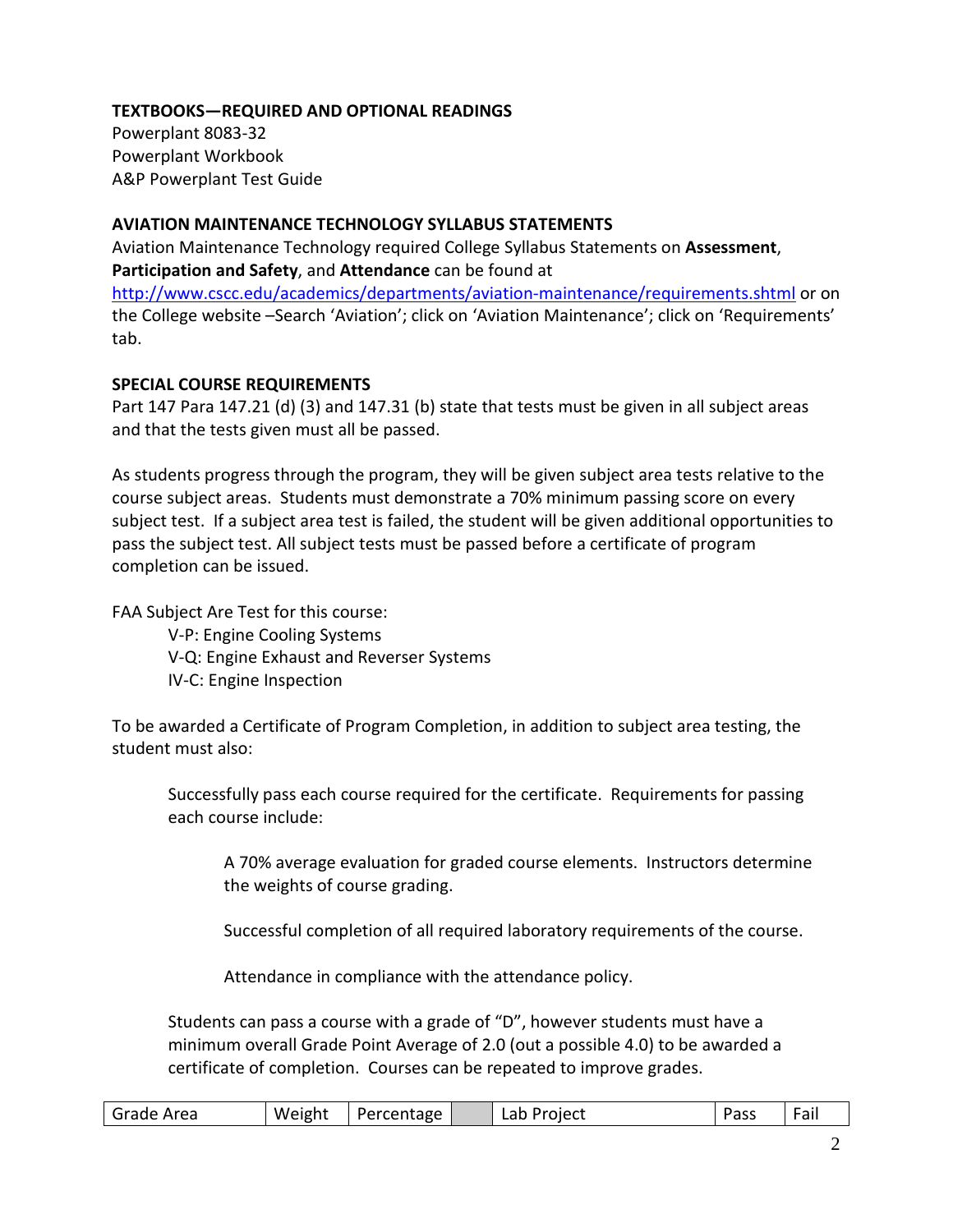# **TEXTBOOKS—REQUIRED AND OPTIONAL READINGS**

Powerplant 8083-32 Powerplant Workbook A&P Powerplant Test Guide

#### **AVIATION MAINTENANCE TECHNOLOGY SYLLABUS STATEMENTS**

Aviation Maintenance Technology required College Syllabus Statements on **Assessment**, **Participation and Safety**, and **Attendance** can be found at <http://www.cscc.edu/academics/departments/aviation-maintenance/requirements.shtml> or on the College website –Search 'Aviation'; click on 'Aviation Maintenance'; click on 'Requirements' tab.

### **SPECIAL COURSE REQUIREMENTS**

Part 147 Para 147.21 (d) (3) and 147.31 (b) state that tests must be given in all subject areas and that the tests given must all be passed.

As students progress through the program, they will be given subject area tests relative to the course subject areas. Students must demonstrate a 70% minimum passing score on every subject test. If a subject area test is failed, the student will be given additional opportunities to pass the subject test. All subject tests must be passed before a certificate of program completion can be issued.

FAA Subject Are Test for this course:

V-P: Engine Cooling Systems V-Q: Engine Exhaust and Reverser Systems IV-C: Engine Inspection

To be awarded a Certificate of Program Completion, in addition to subject area testing, the student must also:

Successfully pass each course required for the certificate. Requirements for passing each course include:

A 70% average evaluation for graded course elements. Instructors determine the weights of course grading.

Successful completion of all required laboratory requirements of the course.

Attendance in compliance with the attendance policy.

Students can pass a course with a grade of "D", however students must have a minimum overall Grade Point Average of 2.0 (out a possible 4.0) to be awarded a certificate of completion. Courses can be repeated to improve grades.

| Grade<br>Area<br>'ercentage<br>Weight<br>ום | Project<br>Lab | ass<br>. . | -<br>$\overline{\phantom{a}}$<br>ra. |
|---------------------------------------------|----------------|------------|--------------------------------------|
|---------------------------------------------|----------------|------------|--------------------------------------|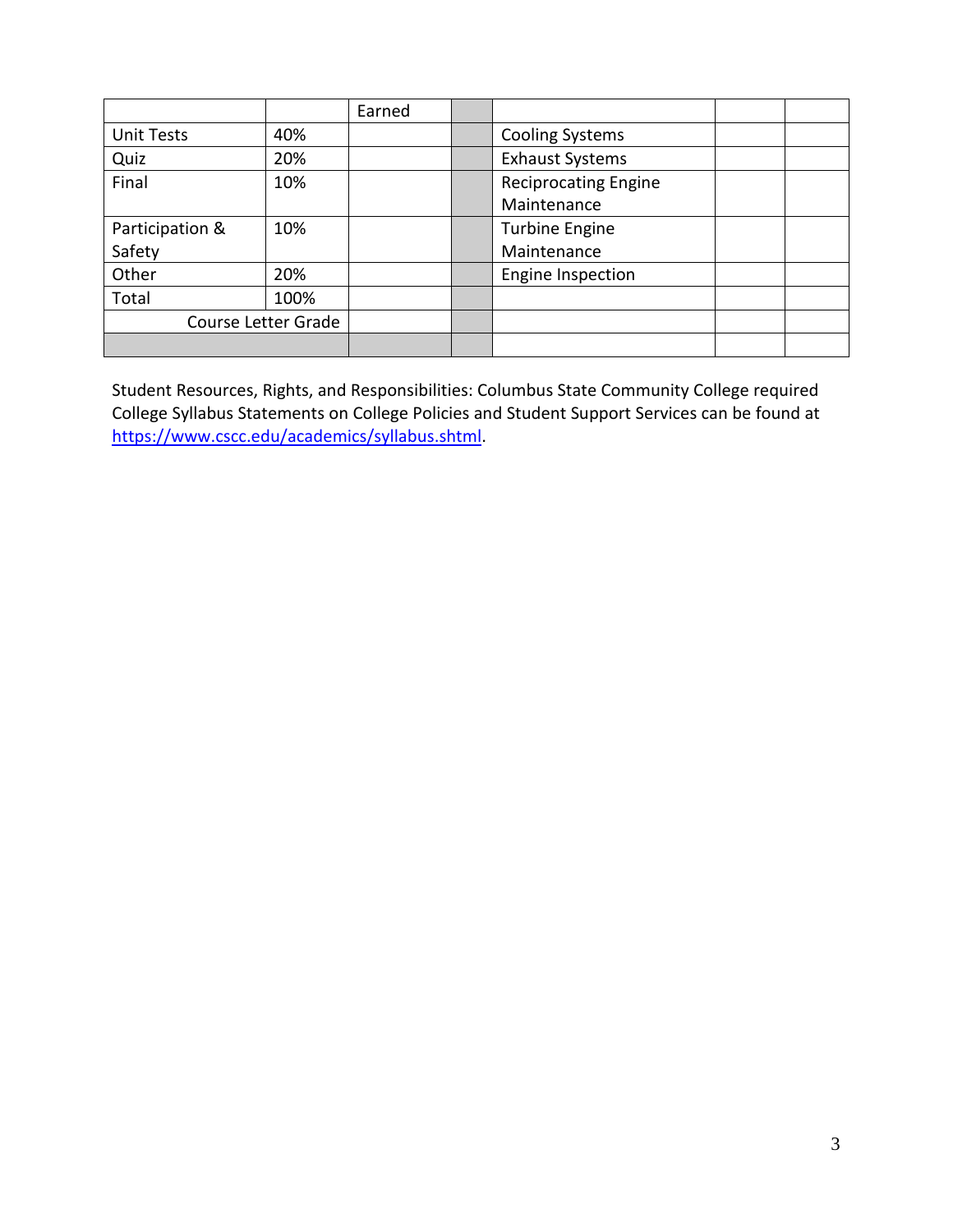|                     |      | Earned |                             |  |
|---------------------|------|--------|-----------------------------|--|
| <b>Unit Tests</b>   | 40%  |        | <b>Cooling Systems</b>      |  |
| Quiz                | 20%  |        | <b>Exhaust Systems</b>      |  |
| Final               | 10%  |        | <b>Reciprocating Engine</b> |  |
|                     |      |        | Maintenance                 |  |
| Participation &     | 10%  |        | <b>Turbine Engine</b>       |  |
| Safety              |      |        | Maintenance                 |  |
| Other               | 20%  |        | <b>Engine Inspection</b>    |  |
| Total               | 100% |        |                             |  |
| Course Letter Grade |      |        |                             |  |
|                     |      |        |                             |  |

Student Resources, Rights, and Responsibilities: Columbus State Community College required College Syllabus Statements on College Policies and Student Support Services can be found at [https://www.cscc.edu/academics/syllabus.shtml.](https://www.cscc.edu/academics/syllabus.shtml)